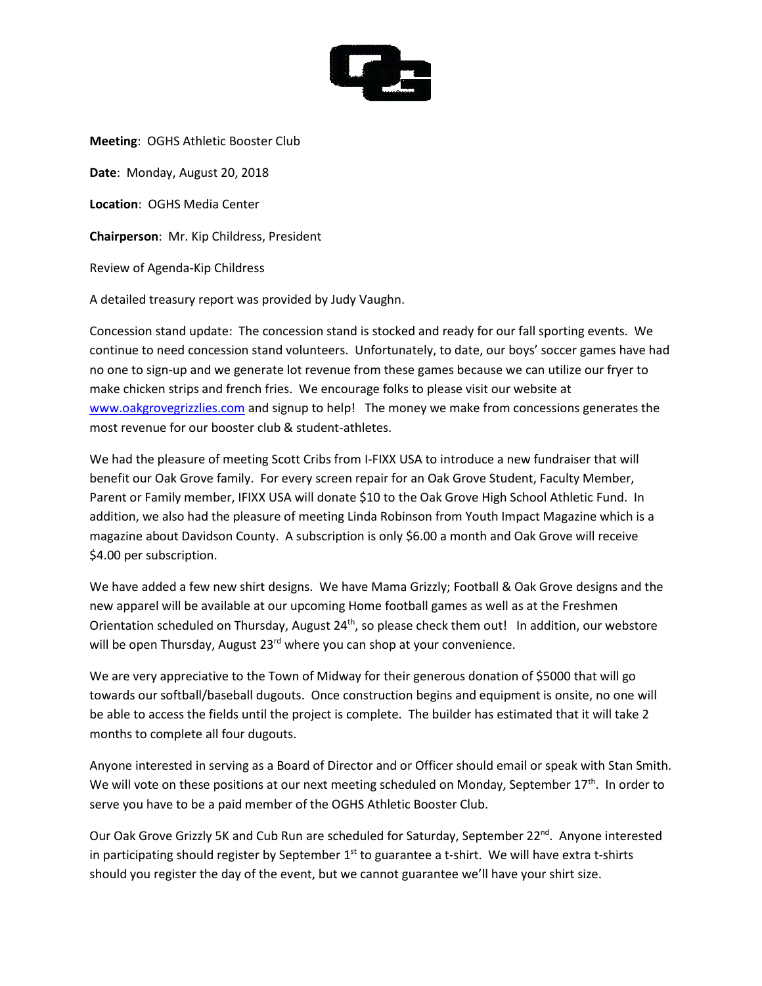

**Meeting**: OGHS Athletic Booster Club **Date**: Monday, August 20, 2018 **Location**: OGHS Media Center **Chairperson**: Mr. Kip Childress, President Review of Agenda-Kip Childress A detailed treasury report was provided by Judy Vaughn.

Concession stand update: The concession stand is stocked and ready for our fall sporting events. We continue to need concession stand volunteers. Unfortunately, to date, our boys' soccer games have had no one to sign-up and we generate lot revenue from these games because we can utilize our fryer to make chicken strips and french fries. We encourage folks to please visit our website at [www.oakgrovegrizzlies.com](http://www.oakgrovegrizzlies.com/) and signup to help! The money we make from concessions generates the most revenue for our booster club & student-athletes.

We had the pleasure of meeting Scott Cribs from I-FIXX USA to introduce a new fundraiser that will benefit our Oak Grove family. For every screen repair for an Oak Grove Student, Faculty Member, Parent or Family member, IFIXX USA will donate \$10 to the Oak Grove High School Athletic Fund. In addition, we also had the pleasure of meeting Linda Robinson from Youth Impact Magazine which is a magazine about Davidson County. A subscription is only \$6.00 a month and Oak Grove will receive \$4.00 per subscription.

We have added a few new shirt designs. We have Mama Grizzly; Football & Oak Grove designs and the new apparel will be available at our upcoming Home football games as well as at the Freshmen Orientation scheduled on Thursday, August 24<sup>th</sup>, so please check them out! In addition, our webstore will be open Thursday, August 23<sup>rd</sup> where you can shop at your convenience.

We are very appreciative to the Town of Midway for their generous donation of \$5000 that will go towards our softball/baseball dugouts. Once construction begins and equipment is onsite, no one will be able to access the fields until the project is complete. The builder has estimated that it will take 2 months to complete all four dugouts.

Anyone interested in serving as a Board of Director and or Officer should email or speak with Stan Smith. We will vote on these positions at our next meeting scheduled on Monday, September  $17<sup>th</sup>$ . In order to serve you have to be a paid member of the OGHS Athletic Booster Club.

Our Oak Grove Grizzly 5K and Cub Run are scheduled for Saturday, September 22<sup>nd</sup>. Anyone interested in participating should register by September  $1<sup>st</sup>$  to guarantee a t-shirt. We will have extra t-shirts should you register the day of the event, but we cannot guarantee we'll have your shirt size.